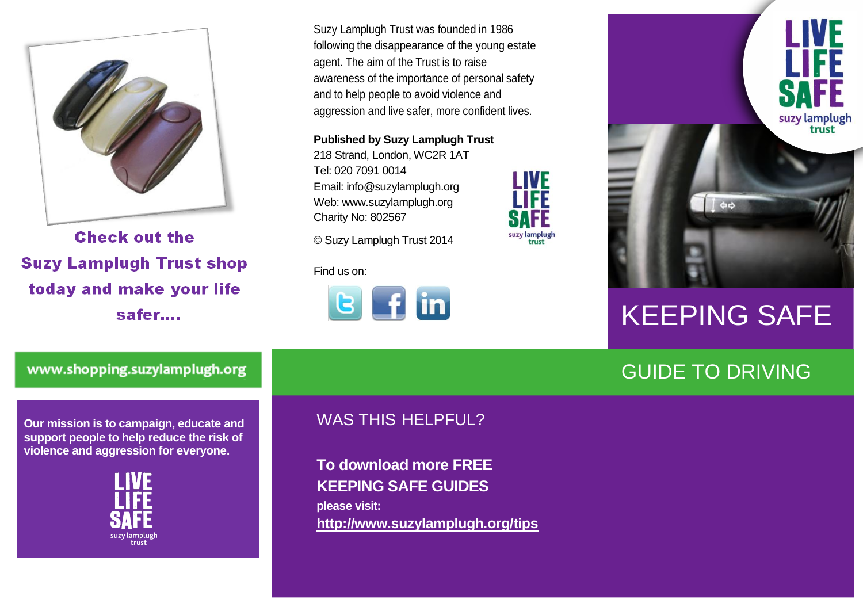

**Check out the Suzy Lamplugh Trust shop** today and make your life safer....

Suzy Lamplugh Trust was founded in 1986 following the disappearance of the young estate agent. The aim of the Trust is to raise awareness of the importance of personal safety and to help people to avoid violence and aggression and live safer, more confident lives.

**I IVF** 

suzy lamplugh

**Published by Suzy Lamplugh Trust**

218 Strand, London, WC2R 1AT Tel: 020 7091 0014 Email: info@suzylamplugh.org Web: www.suzylamplugh.org Charity No: 802567

© Suzy Lamplugh Trust 2014

Find us on:





# KEEPING SAFE

## GUIDE TO DRIVING

www.shopping.suzylamplugh.org

**Our mission is to campaign, educate and support people to help reduce the risk of violence and aggression for everyone.** 



#### WAS THIS HELPFUL?

**To download more FREE KEEPING SAFE GUIDES please visit: <http://www.suzylamplugh.org/tips>**